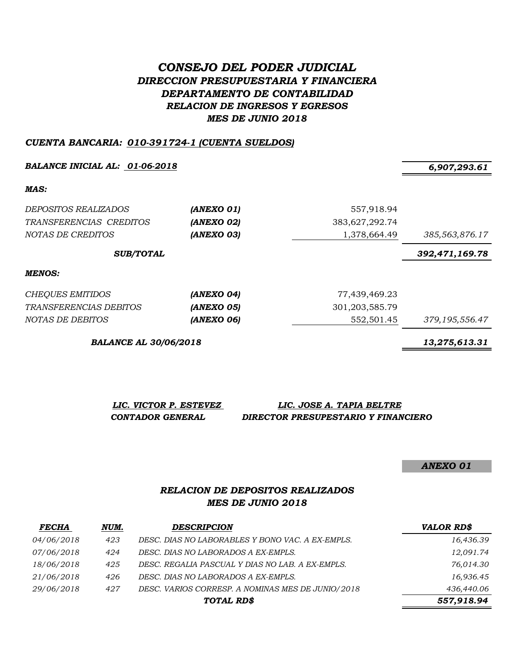# *CONSEJO DEL PODER JUDICIAL DIRECCION PRESUPUESTARIA Y FINANCIERA DEPARTAMENTO DE CONTABILIDAD RELACION DE INGRESOS Y EGRESOS MES DE JUNIO 2018*

#### *CUENTA BANCARIA: 010-391724-1 (CUENTA SUELDOS)*

**BALANCE INICIAL AL:** 01-06-2018 6,907,293.61

*MAS:*

| <i>DEPOSITOS REALIZADOS</i><br>TRANSFERENCIAS CREDITOS<br>NOTAS DE CREDITOS | (ANEXO 01)<br>(ANEXO 02)<br>(ANEXO 03) | 557,918.94<br>383,627,292.74<br>1,378,664.49 | 385,563,876.17 |
|-----------------------------------------------------------------------------|----------------------------------------|----------------------------------------------|----------------|
| <b>SUB/TOTAL</b>                                                            |                                        |                                              | 392,471,169.78 |
| MENOS:                                                                      |                                        |                                              |                |
| <b>CHEQUES EMITIDOS</b>                                                     | (ANEXO 04)                             | 77,439,469.23                                |                |
| <i>TRANSFERENCIAS DEBITOS</i>                                               | (ANEXO 05)                             | 301, 203, 585. 79                            |                |
| NOTAS DE DEBITOS                                                            | (ANEXO 06)                             | 552,501.45                                   | 379,195,556.47 |

*BALANCE AL 30/06/2018 13,275,613.31*

*LIC. VICTOR P. ESTEVEZ LIC. JOSE A. TAPIA BELTRE CONTADOR GENERAL DIRECTOR PRESUPESTARIO Y FINANCIERO*

*ANEXO 01*

## *RELACION DE DEPOSITOS REALIZADOS MES DE JUNIO 2018*

| <b>FECHA</b> | NUM. | <b>DESCRIPCION</b>                                | <b>VALOR RD\$</b> |
|--------------|------|---------------------------------------------------|-------------------|
| 04/06/2018   | 423  | DESC. DIAS NO LABORABLES Y BONO VAC. A EX-EMPLS.  | 16,436.39         |
| 07/06/2018   | 424  | DESC. DIAS NO LABORADOS A EX-EMPLS.               | 12,091.74         |
| 18/06/2018   | 425  | DESC. REGALIA PASCUAL Y DIAS NO LAB. A EX-EMPLS.  | 76,014.30         |
| 21/06/2018   | 426  | DESC. DIAS NO LABORADOS A EX-EMPLS.               | 16,936.45         |
| 29/06/2018   | 427  | DESC. VARIOS CORRESP. A NOMINAS MES DE JUNIO/2018 | 436,440.06        |
|              |      | TOTAL RD\$                                        | 557,918.94        |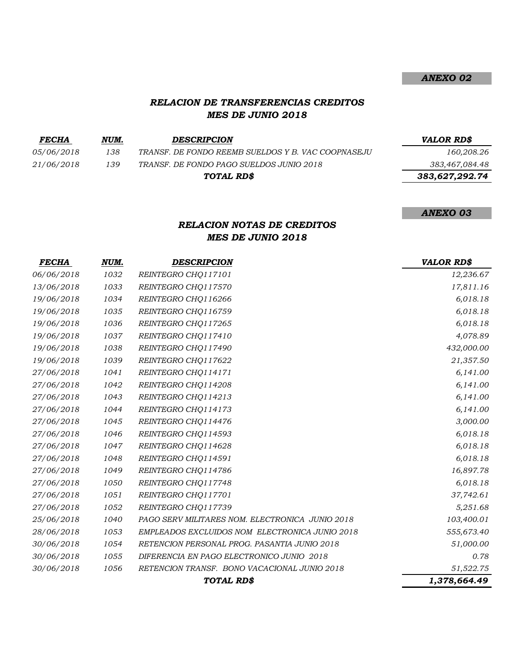## *RELACION DE TRANSFERENCIAS CREDITOS MES DE JUNIO 2018*

*FECHA NUM. DESCRIPCION VALOR RD\$ 05/06/2018 138 TRANSF. DE FONDO REEMB SUELDOS Y B. VAC COOPNASEJU 160,208.26 21/06/2018 139 TRANSF. DE FONDO PAGO SUELDOS JUNIO 2018 383,467,084.48 TOTAL RD\$*

 *383,627,292.74*

#### *ANEXO 03*

## *RELACION NOTAS DE CREDITOS MES DE JUNIO 2018*

| <b>FECHA</b>      | NUM. | <b>DESCRIPCION</b>                              | <b>VALOR RD\$</b> |
|-------------------|------|-------------------------------------------------|-------------------|
| 06/06/2018        | 1032 | REINTEGRO CHQ117101                             | 12,236.67         |
| 13/06/2018        | 1033 | REINTEGRO CHQ117570                             | 17,811.16         |
| 19/06/2018        | 1034 | REINTEGRO CHQ116266                             | 6,018.18          |
| 19/06/2018        | 1035 | REINTEGRO CHQ116759                             | 6,018.18          |
| 19/06/2018        | 1036 | REINTEGRO CHQ117265                             | 6,018.18          |
| 19/06/2018        | 1037 | REINTEGRO CHQ117410                             | 4,078.89          |
| 19/06/2018        | 1038 | REINTEGRO CHQ117490                             | 432,000.00        |
| 19/06/2018        | 1039 | REINTEGRO CHQ117622                             | 21,357.50         |
| 27/06/2018        | 1041 | REINTEGRO CHQ114171                             | 6,141.00          |
| <i>27/06/2018</i> | 1042 | REINTEGRO CHQ114208                             | 6,141.00          |
| 27/06/2018        | 1043 | REINTEGRO CHQ114213                             | 6,141.00          |
| 27/06/2018        | 1044 | REINTEGRO CHQ114173                             | 6,141.00          |
| 27/06/2018        | 1045 | REINTEGRO CHO114476                             | 3,000.00          |
| <i>27/06/2018</i> | 1046 | REINTEGRO CHQ114593                             | 6,018.18          |
| <i>27/06/2018</i> | 1047 | REINTEGRO CHQ114628                             | 6,018.18          |
| 27/06/2018        | 1048 | REINTEGRO CHQ114591                             | 6,018.18          |
| <i>27/06/2018</i> | 1049 | REINTEGRO CHQ114786                             | 16,897.78         |
| 27/06/2018        | 1050 | REINTEGRO CHQ117748                             | 6,018.18          |
| <i>27/06/2018</i> | 1051 | REINTEGRO CHQ117701                             | 37,742.61         |
| 27/06/2018        | 1052 | REINTEGRO CHQ117739                             | 5,251.68          |
| 25/06/2018        | 1040 | PAGO SERV MILITARES NOM. ELECTRONICA JUNIO 2018 | 103,400.01        |
| 28/06/2018        | 1053 | EMPLEADOS EXCLUIDOS NOM ELECTRONICA JUNIO 2018  | 555,673.40        |
| 30/06/2018        | 1054 | RETENCION PERSONAL PROG. PASANTIA JUNIO 2018    | 51,000.00         |
| 30/06/2018        | 1055 | DIFERENCIA EN PAGO ELECTRONICO JUNIO 2018       | 0.78              |
| 30/06/2018        | 1056 | RETENCION TRANSF. BONO VACACIONAL JUNIO 2018    | 51,522.75         |
|                   |      | TOTAL RD\$                                      | 1,378,664.49      |

*ANEXO 02*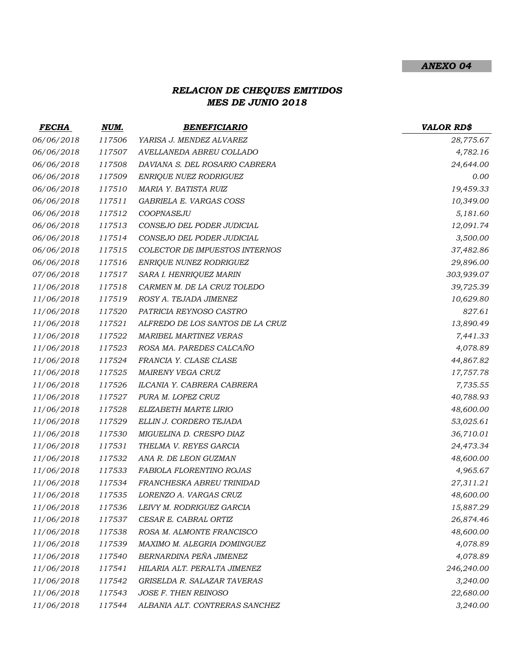#### *ANEXO 04*

# *RELACION DE CHEQUES EMITIDOS MES DE JUNIO 2018*

| <b>FECHA</b> | NUM.   | <b>BENEFICIARIO</b>              | <b>VALOR RD\$</b> |
|--------------|--------|----------------------------------|-------------------|
| 06/06/2018   | 117506 | YARISA J. MENDEZ ALVAREZ         | 28,775.67         |
| 06/06/2018   | 117507 | AVELLANEDA ABREU COLLADO         | 4,782.16          |
| 06/06/2018   | 117508 | DAVIANA S. DEL ROSARIO CABRERA   | 24,644.00         |
| 06/06/2018   | 117509 | ENRIQUE NUEZ RODRIGUEZ           | 0.00              |
| 06/06/2018   | 117510 | MARIA Y. BATISTA RUIZ            | 19,459.33         |
| 06/06/2018   | 117511 | GABRIELA E. VARGAS COSS          | 10,349.00         |
| 06/06/2018   | 117512 | COOPNASEJU                       | 5,181.60          |
| 06/06/2018   | 117513 | CONSEJO DEL PODER JUDICIAL       | 12,091.74         |
| 06/06/2018   | 117514 | CONSEJO DEL PODER JUDICIAL       | 3,500.00          |
| 06/06/2018   | 117515 | COLECTOR DE IMPUESTOS INTERNOS   | 37,482.86         |
| 06/06/2018   | 117516 | ENRIQUE NUNEZ RODRIGUEZ          | 29,896.00         |
| 07/06/2018   | 117517 | SARA I. HENRIQUEZ MARIN          | 303,939.07        |
| 11/06/2018   | 117518 | CARMEN M. DE LA CRUZ TOLEDO      | 39,725.39         |
| 11/06/2018   | 117519 | ROSY A. TEJADA JIMENEZ           | 10,629.80         |
| 11/06/2018   | 117520 | PATRICIA REYNOSO CASTRO          | 827.61            |
| 11/06/2018   | 117521 | ALFREDO DE LOS SANTOS DE LA CRUZ | 13,890.49         |
| 11/06/2018   | 117522 | <b>MARIBEL MARTINEZ VERAS</b>    | 7,441.33          |
| 11/06/2018   | 117523 | ROSA MA. PAREDES CALCAÑO         | 4,078.89          |
| 11/06/2018   | 117524 | FRANCIA Y. CLASE CLASE           | 44,867.82         |
| 11/06/2018   | 117525 | MAIRENY VEGA CRUZ                | 17,757.78         |
| 11/06/2018   | 117526 | ILCANIA Y. CABRERA CABRERA       | 7,735.55          |
| 11/06/2018   | 117527 | PURA M. LOPEZ CRUZ               | 40,788.93         |
| 11/06/2018   | 117528 | ELIZABETH MARTE LIRIO            | 48,600.00         |
| 11/06/2018   | 117529 | ELLIN J. CORDERO TEJADA          | 53,025.61         |
| 11/06/2018   | 117530 | MIGUELINA D. CRESPO DIAZ         | 36,710.01         |
| 11/06/2018   | 117531 | THELMA V. REYES GARCIA           | 24,473.34         |
| 11/06/2018   | 117532 | ANA R. DE LEON GUZMAN            | 48,600.00         |
| 11/06/2018   | 117533 | FABIOLA FLORENTINO ROJAS         | 4,965.67          |
| 11/06/2018   | 117534 | FRANCHESKA ABREU TRINIDAD        | 27,311.21         |
| 11/06/2018   | 117535 | LORENZO A. VARGAS CRUZ           | 48,600.00         |
| 11/06/2018   | 117536 | LEIVY M. RODRIGUEZ GARCIA        | 15,887.29         |
| 11/06/2018   | 117537 | CESAR E. CABRAL ORTIZ            | 26,874.46         |
| 11/06/2018   | 117538 | ROSA M. ALMONTE FRANCISCO        | 48,600.00         |
| 11/06/2018   | 117539 | MAXIMO M. ALEGRIA DOMINGUEZ      | 4,078.89          |
| 11/06/2018   | 117540 | BERNARDINA PEÑA JIMENEZ          | 4,078.89          |
| 11/06/2018   | 117541 | HILARIA ALT. PERALTA JIMENEZ     | 246,240.00        |
| 11/06/2018   | 117542 | GRISELDA R. SALAZAR TAVERAS      | 3,240.00          |
| 11/06/2018   | 117543 | JOSE F. THEN REINOSO             | 22,680.00         |
| 11/06/2018   | 117544 | ALBANIA ALT. CONTRERAS SANCHEZ   | 3,240.00          |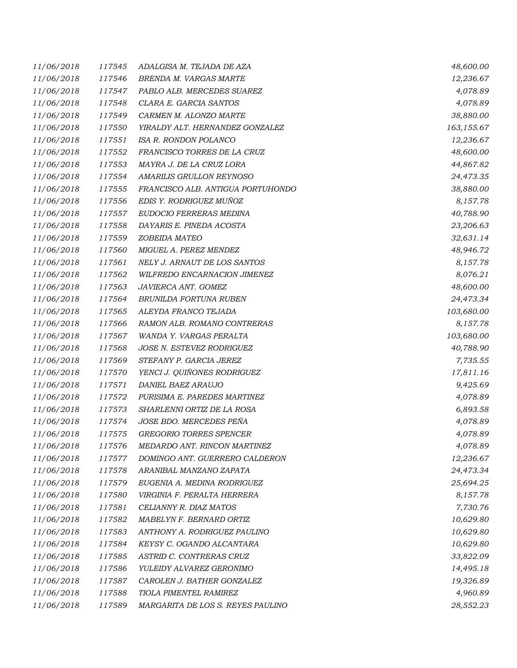| 11/06/2018 | 117545 | ADALGISA M. TEJADA DE AZA         | 48,600.00  |
|------------|--------|-----------------------------------|------------|
| 11/06/2018 | 117546 | BRENDA M. VARGAS MARTE            | 12,236.67  |
| 11/06/2018 | 117547 | PABLO ALB. MERCEDES SUAREZ        | 4,078.89   |
| 11/06/2018 | 117548 | CLARA E. GARCIA SANTOS            | 4,078.89   |
| 11/06/2018 | 117549 | CARMEN M. ALONZO MARTE            | 38,880.00  |
| 11/06/2018 | 117550 | YIRALDY ALT. HERNANDEZ GONZALEZ   | 163,155.67 |
| 11/06/2018 | 117551 | ISA R. RONDON POLANCO             | 12,236.67  |
| 11/06/2018 | 117552 | FRANCISCO TORRES DE LA CRUZ       | 48,600.00  |
| 11/06/2018 | 117553 | MAYRA J. DE LA CRUZ LORA          | 44,867.82  |
| 11/06/2018 | 117554 | AMARILIS GRULLON REYNOSO          | 24,473.35  |
| 11/06/2018 | 117555 | FRANCISCO ALB. ANTIGUA PORTUHONDO | 38,880.00  |
| 11/06/2018 | 117556 | EDIS Y. RODRIGUEZ MUÑOZ           | 8,157.78   |
| 11/06/2018 | 117557 | EUDOCIO FERRERAS MEDINA           | 40,788.90  |
| 11/06/2018 | 117558 | DAYARIS E. PINEDA ACOSTA          | 23,206.63  |
| 11/06/2018 | 117559 | ZOBEIDA MATEO                     | 32,631.14  |
| 11/06/2018 | 117560 | MIGUEL A. PEREZ MENDEZ            | 48,946.72  |
| 11/06/2018 | 117561 | NELY J. ARNAUT DE LOS SANTOS      | 8,157.78   |
| 11/06/2018 | 117562 | WILFREDO ENCARNACION JIMENEZ      | 8,076.21   |
| 11/06/2018 | 117563 | JAVIERCA ANT. GOMEZ               | 48,600.00  |
| 11/06/2018 | 117564 | BRUNILDA FORTUNA RUBEN            | 24,473.34  |
| 11/06/2018 | 117565 | ALEYDA FRANCO TEJADA              | 103,680.00 |
| 11/06/2018 | 117566 | RAMON ALB. ROMANO CONTRERAS       | 8,157.78   |
| 11/06/2018 | 117567 | WANDA Y. VARGAS PERALTA           | 103,680.00 |
| 11/06/2018 | 117568 | JOSE N. ESTEVEZ RODRIGUEZ         | 40,788.90  |
| 11/06/2018 | 117569 | STEFANY P. GARCIA JEREZ           | 7,735.55   |
| 11/06/2018 | 117570 | YENCI J. QUIÑONES RODRIGUEZ       | 17,811.16  |
| 11/06/2018 | 117571 | DANIEL BAEZ ARAUJO                | 9,425.69   |
| 11/06/2018 | 117572 | PURISIMA E. PAREDES MARTINEZ      | 4,078.89   |
| 11/06/2018 | 117573 | SHARLENNI ORTIZ DE LA ROSA        | 6,893.58   |
| 11/06/2018 | 117574 | JOSE BDO. MERCEDES PEÑA           | 4,078.89   |
| 11/06/2018 | 117575 | <b>GREGORIO TORRES SPENCER</b>    | 4,078.89   |
| 11/06/2018 | 117576 | MEDARDO ANT. RINCON MARTINEZ      | 4,078.89   |
| 11/06/2018 | 117577 | DOMINGO ANT. GUERRERO CALDERON    | 12,236.67  |
| 11/06/2018 | 117578 | ARANIBAL MANZANO ZAPATA           | 24,473.34  |
| 11/06/2018 | 117579 | EUGENIA A. MEDINA RODRIGUEZ       | 25,694.25  |
| 11/06/2018 | 117580 | VIRGINIA F. PERALTA HERRERA       | 8,157.78   |
| 11/06/2018 | 117581 | CELIANNY R. DIAZ MATOS            | 7,730.76   |
| 11/06/2018 | 117582 | MABELYN F. BERNARD ORTIZ          | 10,629.80  |
| 11/06/2018 | 117583 | ANTHONY A. RODRIGUEZ PAULINO      | 10,629.80  |
| 11/06/2018 | 117584 | KEYSY C. OGANDO ALCANTARA         | 10,629.80  |
| 11/06/2018 | 117585 | ASTRID C. CONTRERAS CRUZ          | 33,822.09  |
| 11/06/2018 | 117586 | YULEIDY ALVAREZ GERONIMO          | 14,495.18  |
| 11/06/2018 | 117587 | CAROLEN J. BATHER GONZALEZ        | 19,326.89  |
| 11/06/2018 | 117588 | TIOLA PIMENTEL RAMIREZ            | 4,960.89   |
| 11/06/2018 | 117589 | MARGARITA DE LOS S. REYES PAULINO | 28,552.23  |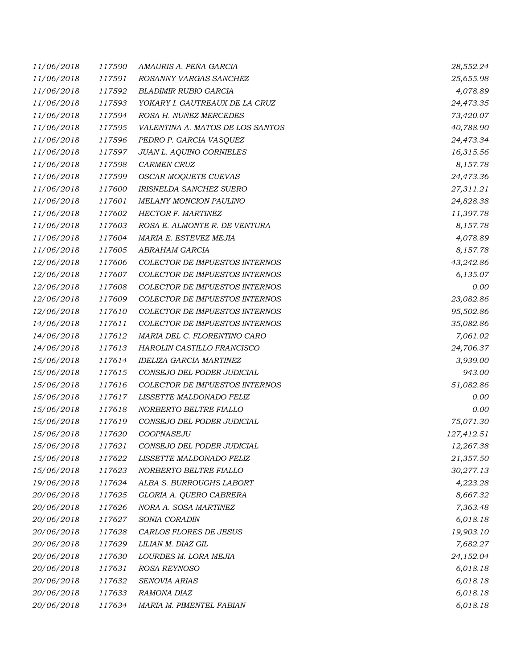| 11/06/2018 | 117590 | AMAURIS A. PEÑA GARCIA           | 28,552.24  |
|------------|--------|----------------------------------|------------|
| 11/06/2018 | 117591 | ROSANNY VARGAS SANCHEZ           | 25,655.98  |
| 11/06/2018 | 117592 | <b>BLADIMIR RUBIO GARCIA</b>     | 4,078.89   |
| 11/06/2018 | 117593 | YOKARY I. GAUTREAUX DE LA CRUZ   | 24,473.35  |
| 11/06/2018 | 117594 | ROSA H. NUÑEZ MERCEDES           | 73,420.07  |
| 11/06/2018 | 117595 | VALENTINA A. MATOS DE LOS SANTOS | 40,788.90  |
| 11/06/2018 | 117596 | PEDRO P. GARCIA VASQUEZ          | 24,473.34  |
| 11/06/2018 | 117597 | <b>JUAN L. AQUINO CORNIELES</b>  | 16,315.56  |
| 11/06/2018 | 117598 | <b>CARMEN CRUZ</b>               | 8,157.78   |
| 11/06/2018 | 117599 | OSCAR MOQUETE CUEVAS             | 24,473.36  |
| 11/06/2018 | 117600 | <b>IRISNELDA SANCHEZ SUERO</b>   | 27,311.21  |
| 11/06/2018 | 117601 | MELANY MONCION PAULINO           | 24,828.38  |
| 11/06/2018 | 117602 | <b>HECTOR F. MARTINEZ</b>        | 11,397.78  |
| 11/06/2018 | 117603 | ROSA E. ALMONTE R. DE VENTURA    | 8,157.78   |
| 11/06/2018 | 117604 | MARIA E. ESTEVEZ MEJIA           | 4,078.89   |
| 11/06/2018 | 117605 | ABRAHAM GARCIA                   | 8,157.78   |
| 12/06/2018 | 117606 | COLECTOR DE IMPUESTOS INTERNOS   | 43,242.86  |
| 12/06/2018 | 117607 | COLECTOR DE IMPUESTOS INTERNOS   | 6,135.07   |
| 12/06/2018 | 117608 | COLECTOR DE IMPUESTOS INTERNOS   | 0.00       |
| 12/06/2018 | 117609 | COLECTOR DE IMPUESTOS INTERNOS   | 23,082.86  |
| 12/06/2018 | 117610 | COLECTOR DE IMPUESTOS INTERNOS   | 95,502.86  |
| 14/06/2018 | 117611 | COLECTOR DE IMPUESTOS INTERNOS   | 35,082.86  |
| 14/06/2018 | 117612 | MARIA DEL C. FLORENTINO CARO     | 7,061.02   |
| 14/06/2018 | 117613 | HAROLIN CASTILLO FRANCISCO       | 24,706.37  |
| 15/06/2018 | 117614 | <b>IDELIZA GARCIA MARTINEZ</b>   | 3,939.00   |
| 15/06/2018 | 117615 | CONSEJO DEL PODER JUDICIAL       | 943.00     |
| 15/06/2018 | 117616 | COLECTOR DE IMPUESTOS INTERNOS   | 51,082.86  |
| 15/06/2018 | 117617 | LISSETTE MALDONADO FELIZ         | 0.00       |
| 15/06/2018 | 117618 | NORBERTO BELTRE FIALLO           | 0.00       |
| 15/06/2018 | 117619 | CONSEJO DEL PODER JUDICIAL       | 75,071.30  |
| 15/06/2018 | 117620 | COOPNASEJU                       | 127,412.51 |
| 15/06/2018 | 117621 | CONSEJO DEL PODER JUDICIAL       | 12,267.38  |
| 15/06/2018 | 117622 | LISSETTE MALDONADO FELIZ         | 21,357.50  |
| 15/06/2018 | 117623 | NORBERTO BELTRE FIALLO           | 30,277.13  |
| 19/06/2018 | 117624 | ALBA S. BURROUGHS LABORT         | 4,223.28   |
| 20/06/2018 | 117625 | GLORIA A. QUERO CABRERA          | 8,667.32   |
| 20/06/2018 | 117626 | NORA A. SOSA MARTINEZ            | 7,363.48   |
| 20/06/2018 | 117627 | SONIA CORADIN                    | 6,018.18   |
| 20/06/2018 | 117628 | CARLOS FLORES DE JESUS           | 19,903.10  |
| 20/06/2018 | 117629 | LILIAN M. DIAZ GIL               | 7,682.27   |
| 20/06/2018 | 117630 | LOURDES M. LORA MEJIA            | 24,152.04  |
| 20/06/2018 | 117631 | ROSA REYNOSO                     | 6,018.18   |
| 20/06/2018 | 117632 | SENOVIA ARIAS                    | 6,018.18   |
| 20/06/2018 | 117633 | RAMONA DIAZ                      | 6,018.18   |
| 20/06/2018 | 117634 | MARIA M. PIMENTEL FABIAN         | 6,018.18   |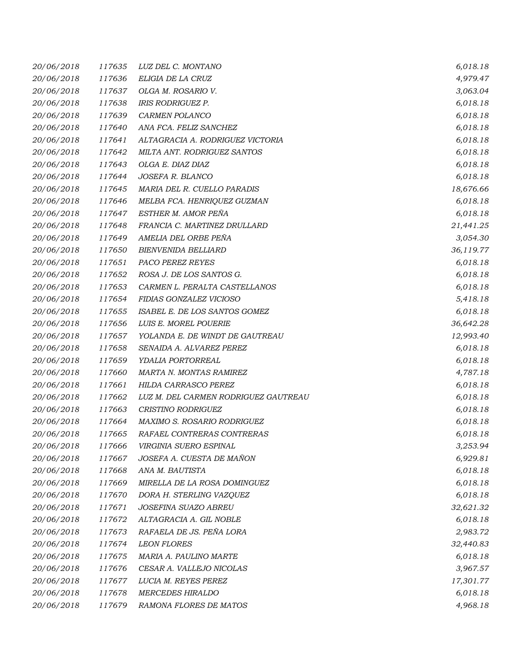| 20/06/2018 | 117635 | LUZ DEL C. MONTANO                   | 6,018.18  |
|------------|--------|--------------------------------------|-----------|
| 20/06/2018 | 117636 | ELIGIA DE LA CRUZ                    | 4,979.47  |
| 20/06/2018 | 117637 | OLGA M. ROSARIO V.                   | 3,063.04  |
| 20/06/2018 | 117638 | <b>IRIS RODRIGUEZ P.</b>             | 6,018.18  |
| 20/06/2018 | 117639 | CARMEN POLANCO                       | 6,018.18  |
| 20/06/2018 | 117640 | ANA FCA. FELIZ SANCHEZ               | 6,018.18  |
| 20/06/2018 | 117641 | ALTAGRACIA A. RODRIGUEZ VICTORIA     | 6,018.18  |
| 20/06/2018 | 117642 | MILTA ANT. RODRIGUEZ SANTOS          | 6,018.18  |
| 20/06/2018 | 117643 | OLGA E. DIAZ DIAZ                    | 6,018.18  |
| 20/06/2018 | 117644 | JOSEFA R. BLANCO                     | 6,018.18  |
| 20/06/2018 | 117645 | MARIA DEL R. CUELLO PARADIS          | 18,676.66 |
| 20/06/2018 | 117646 | MELBA FCA. HENRIQUEZ GUZMAN          | 6,018.18  |
| 20/06/2018 | 117647 | ESTHER M. AMOR PEÑA                  | 6,018.18  |
| 20/06/2018 | 117648 | FRANCIA C. MARTINEZ DRULLARD         | 21,441.25 |
| 20/06/2018 | 117649 | AMELIA DEL ORBE PEÑA                 | 3,054.30  |
| 20/06/2018 | 117650 | <b>BIENVENIDA BELLIARD</b>           | 36,119.77 |
| 20/06/2018 | 117651 | PACO PEREZ REYES                     | 6,018.18  |
| 20/06/2018 | 117652 | ROSA J. DE LOS SANTOS G.             | 6,018.18  |
| 20/06/2018 | 117653 | CARMEN L. PERALTA CASTELLANOS        | 6,018.18  |
| 20/06/2018 | 117654 | FIDIAS GONZALEZ VICIOSO              | 5,418.18  |
| 20/06/2018 | 117655 | ISABEL E. DE LOS SANTOS GOMEZ        | 6,018.18  |
| 20/06/2018 | 117656 | LUIS E. MOREL POUERIE                | 36,642.28 |
| 20/06/2018 | 117657 | YOLANDA E. DE WINDT DE GAUTREAU      | 12,993.40 |
| 20/06/2018 | 117658 | SENAIDA A. ALVAREZ PEREZ             | 6,018.18  |
| 20/06/2018 | 117659 | YDALIA PORTORREAL                    | 6,018.18  |
| 20/06/2018 | 117660 | MARTA N. MONTAS RAMIREZ              | 4,787.18  |
| 20/06/2018 | 117661 | HILDA CARRASCO PEREZ                 | 6,018.18  |
| 20/06/2018 | 117662 | LUZ M. DEL CARMEN RODRIGUEZ GAUTREAU | 6,018.18  |
| 20/06/2018 | 117663 | CRISTINO RODRIGUEZ                   | 6,018.18  |
| 20/06/2018 | 117664 | MAXIMO S. ROSARIO RODRIGUEZ          | 6,018.18  |
| 20/06/2018 | 117665 | RAFAEL CONTRERAS CONTRERAS           | 6,018.18  |
| 20/06/2018 | 117666 | VIRGINIA SUERO ESPINAL               | 3,253.94  |
| 20/06/2018 | 117667 | JOSEFA A. CUESTA DE MAÑON            | 6,929.81  |
| 20/06/2018 | 117668 | ANA M. BAUTISTA                      | 6,018.18  |
| 20/06/2018 | 117669 | MIRELLA DE LA ROSA DOMINGUEZ         | 6,018.18  |
| 20/06/2018 | 117670 | DORA H. STERLING VAZQUEZ             | 6,018.18  |
| 20/06/2018 | 117671 | <b>JOSEFINA SUAZO ABREU</b>          | 32,621.32 |
| 20/06/2018 | 117672 | ALTAGRACIA A. GIL NOBLE              | 6,018.18  |
| 20/06/2018 | 117673 | RAFAELA DE JS. PEÑA LORA             | 2,983.72  |
| 20/06/2018 | 117674 | <b>LEON FLORES</b>                   | 32,440.83 |
| 20/06/2018 | 117675 | MARIA A. PAULINO MARTE               | 6,018.18  |
| 20/06/2018 | 117676 | CESAR A. VALLEJO NICOLAS             | 3,967.57  |
| 20/06/2018 | 117677 | LUCIA M. REYES PEREZ                 | 17,301.77 |
| 20/06/2018 | 117678 | <b>MERCEDES HIRALDO</b>              | 6,018.18  |
| 20/06/2018 | 117679 | RAMONA FLORES DE MATOS               | 4,968.18  |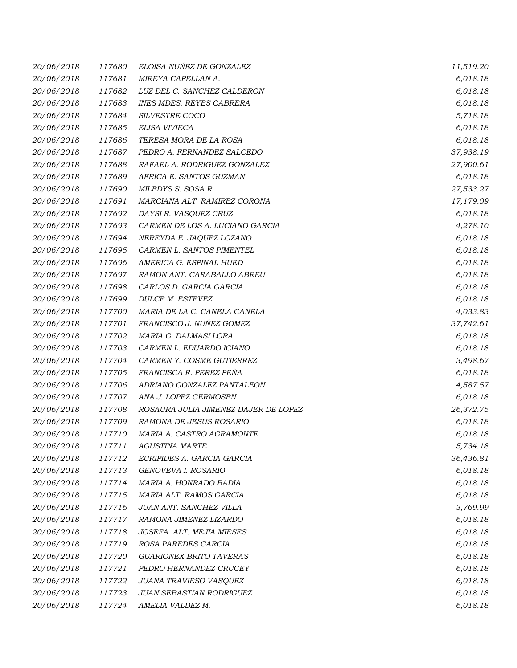| 20/06/2018 | 117680 | ELOISA NUÑEZ DE GONZALEZ             | 11,519.20 |
|------------|--------|--------------------------------------|-----------|
| 20/06/2018 | 117681 | MIREYA CAPELLAN A.                   | 6,018.18  |
| 20/06/2018 | 117682 | LUZ DEL C. SANCHEZ CALDERON          | 6,018.18  |
| 20/06/2018 | 117683 | <b>INES MDES. REYES CABRERA</b>      | 6,018.18  |
| 20/06/2018 | 117684 | SILVESTRE COCO                       | 5,718.18  |
| 20/06/2018 | 117685 | ELISA VIVIECA                        | 6,018.18  |
| 20/06/2018 | 117686 | TERESA MORA DE LA ROSA               | 6,018.18  |
| 20/06/2018 | 117687 | PEDRO A. FERNANDEZ SALCEDO           | 37,938.19 |
| 20/06/2018 | 117688 | RAFAEL A. RODRIGUEZ GONZALEZ         | 27,900.61 |
| 20/06/2018 | 117689 | AFRICA E. SANTOS GUZMAN              | 6,018.18  |
| 20/06/2018 | 117690 | MILEDYS S. SOSA R.                   | 27,533.27 |
| 20/06/2018 | 117691 | MARCIANA ALT. RAMIREZ CORONA         | 17,179.09 |
| 20/06/2018 | 117692 | DAYSI R. VASQUEZ CRUZ                | 6,018.18  |
| 20/06/2018 | 117693 | CARMEN DE LOS A. LUCIANO GARCIA      | 4,278.10  |
| 20/06/2018 | 117694 | NEREYDA E. JAQUEZ LOZANO             | 6,018.18  |
| 20/06/2018 | 117695 | CARMEN L. SANTOS PIMENTEL            | 6,018.18  |
| 20/06/2018 | 117696 | AMERICA G. ESPINAL HUED              | 6,018.18  |
| 20/06/2018 | 117697 | RAMON ANT. CARABALLO ABREU           | 6,018.18  |
| 20/06/2018 | 117698 | CARLOS D. GARCIA GARCIA              | 6,018.18  |
| 20/06/2018 | 117699 | <b>DULCE M. ESTEVEZ</b>              | 6,018.18  |
| 20/06/2018 | 117700 | MARIA DE LA C. CANELA CANELA         | 4,033.83  |
| 20/06/2018 | 117701 | FRANCISCO J. NUÑEZ GOMEZ             | 37,742.61 |
| 20/06/2018 | 117702 | MARIA G. DALMASI LORA                | 6,018.18  |
| 20/06/2018 | 117703 | CARMEN L. EDUARDO ICIANO             | 6,018.18  |
| 20/06/2018 | 117704 | CARMEN Y. COSME GUTIERREZ            | 3,498.67  |
| 20/06/2018 | 117705 | FRANCISCA R. PEREZ PEÑA              | 6,018.18  |
| 20/06/2018 | 117706 | ADRIANO GONZALEZ PANTALEON           | 4,587.57  |
| 20/06/2018 | 117707 | ANA J. LOPEZ GERMOSEN                | 6,018.18  |
| 20/06/2018 | 117708 | ROSAURA JULIA JIMENEZ DAJER DE LOPEZ | 26,372.75 |
| 20/06/2018 | 117709 | RAMONA DE JESUS ROSARIO              | 6,018.18  |
| 20/06/2018 | 117710 | MARIA A. CASTRO AGRAMONTE            | 6,018.18  |
| 20/06/2018 | 117711 | <b>AGUSTINA MARTE</b>                | 5,734.18  |
| 20/06/2018 | 117712 | EURIPIDES A. GARCIA GARCIA           | 36,436.81 |
| 20/06/2018 | 117713 | GENOVEVA I. ROSARIO                  | 6,018.18  |
| 20/06/2018 | 117714 | MARIA A. HONRADO BADIA               | 6,018.18  |
| 20/06/2018 | 117715 | MARIA ALT. RAMOS GARCIA              | 6,018.18  |
| 20/06/2018 | 117716 | JUAN ANT. SANCHEZ VILLA              | 3,769.99  |
| 20/06/2018 | 117717 | RAMONA JIMENEZ LIZARDO               | 6,018.18  |
| 20/06/2018 | 117718 | JOSEFA ALT. MEJIA MIESES             | 6,018.18  |
| 20/06/2018 | 117719 | ROSA PAREDES GARCIA                  | 6,018.18  |
| 20/06/2018 | 117720 | <b>GUARIONEX BRITO TAVERAS</b>       | 6,018.18  |
| 20/06/2018 | 117721 | PEDRO HERNANDEZ CRUCEY               | 6,018.18  |
| 20/06/2018 | 117722 | JUANA TRAVIESO VASQUEZ               | 6,018.18  |
| 20/06/2018 | 117723 | JUAN SEBASTIAN RODRIGUEZ             | 6,018.18  |
| 20/06/2018 | 117724 | AMELIA VALDEZ M.                     | 6,018.18  |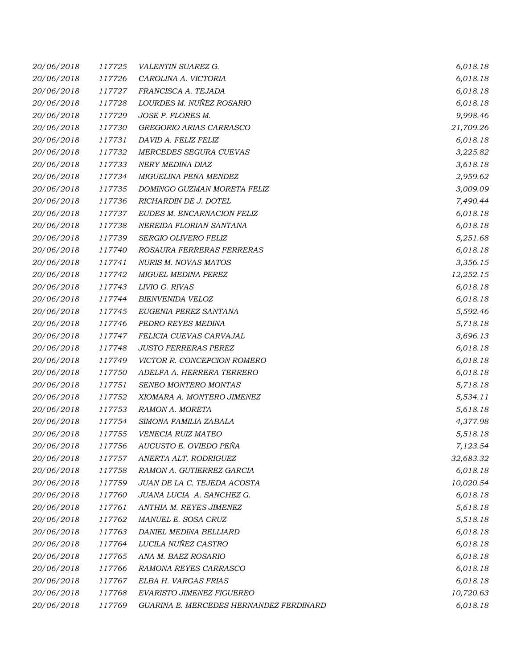| 20/06/2018 | 117725 | VALENTIN SUAREZ G.                      | 6,018.18  |
|------------|--------|-----------------------------------------|-----------|
| 20/06/2018 | 117726 | CAROLINA A. VICTORIA                    | 6,018.18  |
| 20/06/2018 | 117727 | FRANCISCA A. TEJADA                     | 6,018.18  |
| 20/06/2018 | 117728 | LOURDES M. NUÑEZ ROSARIO                | 6,018.18  |
| 20/06/2018 | 117729 | JOSE P. FLORES M.                       | 9,998.46  |
| 20/06/2018 | 117730 | GREGORIO ARIAS CARRASCO                 | 21,709.26 |
| 20/06/2018 | 117731 | DAVID A. FELIZ FELIZ                    | 6,018.18  |
| 20/06/2018 | 117732 | MERCEDES SEGURA CUEVAS                  | 3,225.82  |
| 20/06/2018 | 117733 | NERY MEDINA DIAZ                        | 3,618.18  |
| 20/06/2018 | 117734 | MIGUELINA PEÑA MENDEZ                   | 2,959.62  |
| 20/06/2018 | 117735 | DOMINGO GUZMAN MORETA FELIZ             | 3,009.09  |
| 20/06/2018 | 117736 | RICHARDIN DE J. DOTEL                   | 7,490.44  |
| 20/06/2018 | 117737 | EUDES M. ENCARNACION FELIZ              | 6,018.18  |
| 20/06/2018 | 117738 | NEREIDA FLORIAN SANTANA                 | 6,018.18  |
| 20/06/2018 | 117739 | <b>SERGIO OLIVERO FELIZ</b>             | 5,251.68  |
| 20/06/2018 | 117740 | ROSAURA FERRERAS FERRERAS               | 6,018.18  |
| 20/06/2018 | 117741 | <b>NURIS M. NOVAS MATOS</b>             | 3,356.15  |
| 20/06/2018 | 117742 | MIGUEL MEDINA PEREZ                     | 12,252.15 |
| 20/06/2018 | 117743 | LIVIO G. RIVAS                          | 6,018.18  |
| 20/06/2018 | 117744 | BIENVENIDA VELOZ                        | 6,018.18  |
| 20/06/2018 | 117745 | EUGENIA PEREZ SANTANA                   | 5,592.46  |
| 20/06/2018 | 117746 | PEDRO REYES MEDINA                      | 5,718.18  |
| 20/06/2018 | 117747 | FELICIA CUEVAS CARVAJAL                 | 3,696.13  |
| 20/06/2018 | 117748 | <b>JUSTO FERRERAS PEREZ</b>             | 6,018.18  |
| 20/06/2018 | 117749 | VICTOR R. CONCEPCION ROMERO             | 6,018.18  |
| 20/06/2018 | 117750 | ADELFA A. HERRERA TERRERO               | 6,018.18  |
| 20/06/2018 | 117751 | SENEO MONTERO MONTAS                    | 5,718.18  |
| 20/06/2018 | 117752 | XIOMARA A. MONTERO JIMENEZ              | 5,534.11  |
| 20/06/2018 | 117753 | RAMON A. MORETA                         | 5,618.18  |
| 20/06/2018 | 117754 | SIMONA FAMILIA ZABALA                   | 4,377.98  |
| 20/06/2018 | 117755 | VENECIA RUIZ MATEO                      | 5,518.18  |
| 20/06/2018 | 117756 | AUGUSTO E. OVIEDO PEÑA                  | 7,123.54  |
| 20/06/2018 | 117757 | ANERTA ALT. RODRIGUEZ                   | 32,683.32 |
| 20/06/2018 | 117758 | RAMON A. GUTIERREZ GARCIA               | 6,018.18  |
| 20/06/2018 | 117759 | JUAN DE LA C. TEJEDA ACOSTA             | 10,020.54 |
| 20/06/2018 | 117760 | JUANA LUCIA A. SANCHEZ G.               | 6,018.18  |
| 20/06/2018 | 117761 | ANTHIA M. REYES JIMENEZ                 | 5,618.18  |
| 20/06/2018 | 117762 | MANUEL E. SOSA CRUZ                     | 5,518.18  |
| 20/06/2018 | 117763 | DANIEL MEDINA BELLIARD                  | 6,018.18  |
| 20/06/2018 | 117764 | LUCILA NUÑEZ CASTRO                     | 6,018.18  |
| 20/06/2018 | 117765 | ANA M. BAEZ ROSARIO                     | 6,018.18  |
| 20/06/2018 | 117766 | RAMONA REYES CARRASCO                   | 6,018.18  |
| 20/06/2018 | 117767 | ELBA H. VARGAS FRIAS                    | 6,018.18  |
| 20/06/2018 | 117768 | EVARISTO JIMENEZ FIGUEREO               | 10,720.63 |
| 20/06/2018 | 117769 | GUARINA E. MERCEDES HERNANDEZ FERDINARD | 6,018.18  |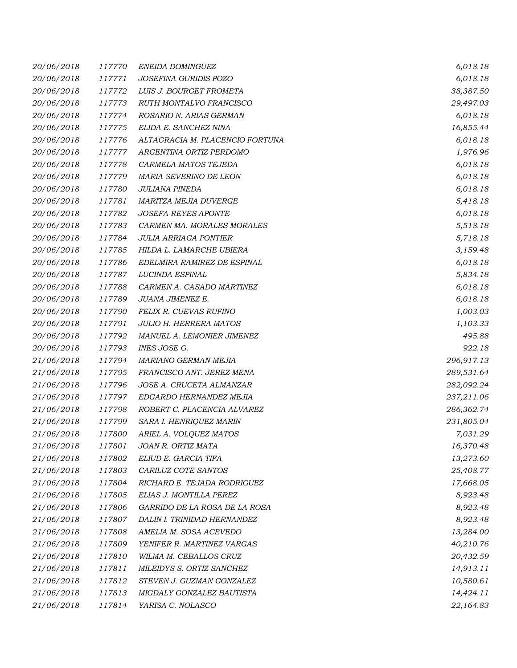| 20/06/2018 | 117770 | ENEIDA DOMINGUEZ                | 6,018.18   |
|------------|--------|---------------------------------|------------|
| 20/06/2018 | 117771 | JOSEFINA GURIDIS POZO           | 6,018.18   |
| 20/06/2018 | 117772 | LUIS J. BOURGET FROMETA         | 38,387.50  |
| 20/06/2018 | 117773 | RUTH MONTALVO FRANCISCO         | 29,497.03  |
| 20/06/2018 | 117774 | ROSARIO N. ARIAS GERMAN         | 6,018.18   |
| 20/06/2018 | 117775 | ELIDA E. SANCHEZ NINA           | 16,855.44  |
| 20/06/2018 | 117776 | ALTAGRACIA M. PLACENCIO FORTUNA | 6,018.18   |
| 20/06/2018 | 117777 | ARGENTINA ORTIZ PERDOMO         | 1,976.96   |
| 20/06/2018 | 117778 | CARMELA MATOS TEJEDA            | 6,018.18   |
| 20/06/2018 | 117779 | MARIA SEVERINO DE LEON          | 6,018.18   |
| 20/06/2018 | 117780 | JULIANA PINEDA                  | 6,018.18   |
| 20/06/2018 | 117781 | MARITZA MEJIA DUVERGE           | 5,418.18   |
| 20/06/2018 | 117782 | <b>JOSEFA REYES APONTE</b>      | 6,018.18   |
| 20/06/2018 | 117783 | CARMEN MA. MORALES MORALES      | 5,518.18   |
| 20/06/2018 | 117784 | <b>JULIA ARRIAGA PONTIER</b>    | 5,718.18   |
| 20/06/2018 | 117785 | HILDA L. LAMARCHE UBIERA        | 3,159.48   |
| 20/06/2018 | 117786 | EDELMIRA RAMIREZ DE ESPINAL     | 6,018.18   |
| 20/06/2018 | 117787 | LUCINDA ESPINAL                 | 5,834.18   |
| 20/06/2018 | 117788 | CARMEN A. CASADO MARTINEZ       | 6,018.18   |
| 20/06/2018 | 117789 | JUANA JIMENEZ E.                | 6,018.18   |
| 20/06/2018 | 117790 | FELIX R. CUEVAS RUFINO          | 1,003.03   |
| 20/06/2018 | 117791 | <b>JULIO H. HERRERA MATOS</b>   | 1,103.33   |
| 20/06/2018 | 117792 | MANUEL A. LEMONIER JIMENEZ      | 495.88     |
| 20/06/2018 | 117793 | INES JOSE G.                    | 922.18     |
| 21/06/2018 | 117794 | MARIANO GERMAN MEJIA            | 296,917.13 |
| 21/06/2018 | 117795 | FRANCISCO ANT. JEREZ MENA       | 289,531.64 |
| 21/06/2018 | 117796 | JOSE A. CRUCETA ALMANZAR        | 282,092.24 |
| 21/06/2018 | 117797 | EDGARDO HERNANDEZ MEJIA         | 237,211.06 |
| 21/06/2018 | 117798 | ROBERT C. PLACENCIA ALVAREZ     | 286,362.74 |
| 21/06/2018 | 117799 | SARA I. HENRIQUEZ MARIN         | 231,805.04 |
| 21/06/2018 | 117800 | ARIEL A. VOLQUEZ MATOS          | 7,031.29   |
| 21/06/2018 | 117801 | JOAN R. ORTIZ MATA              | 16,370.48  |
| 21/06/2018 | 117802 | ELIUD E. GARCIA TIFA            | 13,273.60  |
| 21/06/2018 | 117803 | CARILUZ COTE SANTOS             | 25,408.77  |
| 21/06/2018 | 117804 | RICHARD E. TEJADA RODRIGUEZ     | 17,668.05  |
| 21/06/2018 | 117805 | ELIAS J. MONTILLA PEREZ         | 8,923.48   |
| 21/06/2018 | 117806 | GARRIDO DE LA ROSA DE LA ROSA   | 8,923.48   |
| 21/06/2018 | 117807 | DALIN I. TRINIDAD HERNANDEZ     | 8,923.48   |
| 21/06/2018 | 117808 | AMELIA M. SOSA ACEVEDO          | 13,284.00  |
| 21/06/2018 | 117809 | YENIFER R. MARTINEZ VARGAS      | 40,210.76  |
| 21/06/2018 | 117810 | WILMA M. CEBALLOS CRUZ          | 20,432.59  |
| 21/06/2018 | 117811 | MILEIDYS S. ORTIZ SANCHEZ       | 14,913.11  |
| 21/06/2018 | 117812 | STEVEN J. GUZMAN GONZALEZ       | 10,580.61  |
| 21/06/2018 | 117813 | MIGDALY GONZALEZ BAUTISTA       | 14,424.11  |
| 21/06/2018 | 117814 | YARISA C. NOLASCO               | 22,164.83  |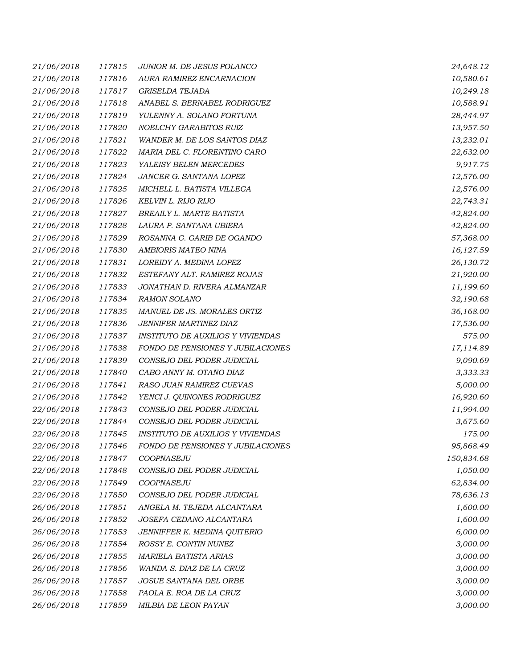| 21/06/2018 | 117815 | JUNIOR M. DE JESUS POLANCO               | 24,648.12  |
|------------|--------|------------------------------------------|------------|
| 21/06/2018 | 117816 | AURA RAMIREZ ENCARNACION                 | 10,580.61  |
| 21/06/2018 | 117817 | GRISELDA TEJADA                          | 10,249.18  |
| 21/06/2018 | 117818 | ANABEL S. BERNABEL RODRIGUEZ             | 10,588.91  |
| 21/06/2018 | 117819 | YULENNY A. SOLANO FORTUNA                | 28,444.97  |
| 21/06/2018 | 117820 | NOELCHY GARABITOS RUIZ                   | 13,957.50  |
| 21/06/2018 | 117821 | WANDER M. DE LOS SANTOS DIAZ             | 13,232.01  |
| 21/06/2018 | 117822 | MARIA DEL C. FLORENTINO CARO             | 22,632.00  |
| 21/06/2018 | 117823 | YALEISY BELEN MERCEDES                   | 9,917.75   |
| 21/06/2018 | 117824 | JANCER G. SANTANA LOPEZ                  | 12,576.00  |
| 21/06/2018 | 117825 | MICHELL L. BATISTA VILLEGA               | 12,576.00  |
| 21/06/2018 | 117826 | KELVIN L. RIJO RIJO                      | 22,743.31  |
| 21/06/2018 | 117827 | BREAILY L. MARTE BATISTA                 | 42,824.00  |
| 21/06/2018 | 117828 | LAURA P. SANTANA UBIERA                  | 42,824.00  |
| 21/06/2018 | 117829 | ROSANNA G. GARIB DE OGANDO               | 57,368.00  |
| 21/06/2018 | 117830 | AMBIORIS MATEO NINA                      | 16,127.59  |
| 21/06/2018 | 117831 | LOREIDY A. MEDINA LOPEZ                  | 26,130.72  |
| 21/06/2018 | 117832 | ESTEFANY ALT. RAMIREZ ROJAS              | 21,920.00  |
| 21/06/2018 | 117833 | JONATHAN D. RIVERA ALMANZAR              | 11,199.60  |
| 21/06/2018 | 117834 | <b>RAMON SOLANO</b>                      | 32,190.68  |
| 21/06/2018 | 117835 | MANUEL DE JS. MORALES ORTIZ              | 36,168.00  |
| 21/06/2018 | 117836 | JENNIFER MARTINEZ DIAZ                   | 17,536.00  |
| 21/06/2018 | 117837 | <b>INSTITUTO DE AUXILIOS Y VIVIENDAS</b> | 575.00     |
| 21/06/2018 | 117838 | FONDO DE PENSIONES Y JUBILACIONES        | 17,114.89  |
| 21/06/2018 | 117839 | CONSEJO DEL PODER JUDICIAL               | 9,090.69   |
| 21/06/2018 | 117840 | CABO ANNY M. OTAÑO DIAZ                  | 3,333.33   |
| 21/06/2018 | 117841 | RASO JUAN RAMIREZ CUEVAS                 | 5,000.00   |
| 21/06/2018 | 117842 | YENCI J. QUINONES RODRIGUEZ              | 16,920.60  |
| 22/06/2018 | 117843 | CONSEJO DEL PODER JUDICIAL               | 11,994.00  |
| 22/06/2018 | 117844 | CONSEJO DEL PODER JUDICIAL               | 3,675.60   |
| 22/06/2018 | 117845 | <b>INSTITUTO DE AUXILIOS Y VIVIENDAS</b> | 175.00     |
| 22/06/2018 | 117846 | FONDO DE PENSIONES Y JUBILACIONES        | 95,868.49  |
| 22/06/2018 | 117847 | COOPNASEJU                               | 150,834.68 |
| 22/06/2018 | 117848 | CONSEJO DEL PODER JUDICIAL               | 1,050.00   |
| 22/06/2018 | 117849 | COOPNASEJU                               | 62,834.00  |
| 22/06/2018 | 117850 | CONSEJO DEL PODER JUDICIAL               | 78,636.13  |
| 26/06/2018 | 117851 | ANGELA M. TEJEDA ALCANTARA               | 1,600.00   |
| 26/06/2018 | 117852 | JOSEFA CEDANO ALCANTARA                  | 1,600.00   |
| 26/06/2018 | 117853 | JENNIFFER K. MEDINA QUITERIO             | 6,000.00   |
| 26/06/2018 | 117854 | ROSSY E. CONTIN NUNEZ                    | 3,000.00   |
| 26/06/2018 | 117855 | <b>MARIELA BATISTA ARIAS</b>             | 3,000.00   |
| 26/06/2018 | 117856 | WANDA S. DIAZ DE LA CRUZ                 | 3,000.00   |
| 26/06/2018 | 117857 | JOSUE SANTANA DEL ORBE                   | 3,000.00   |
| 26/06/2018 | 117858 | PAOLA E. ROA DE LA CRUZ                  | 3,000.00   |
| 26/06/2018 | 117859 | MILBIA DE LEON PAYAN                     | 3,000.00   |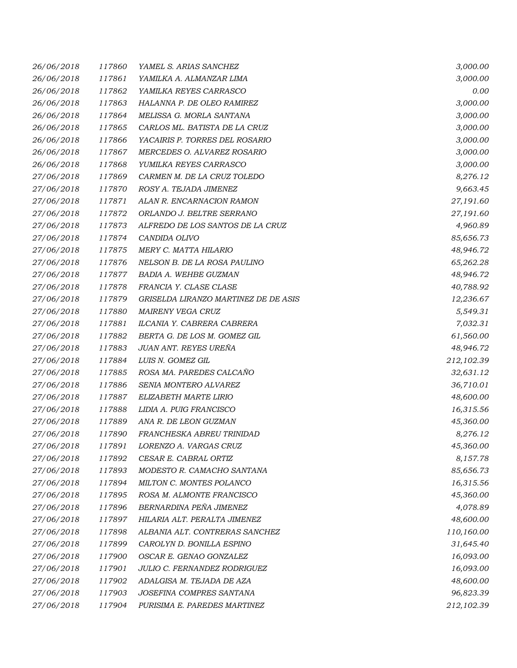| 26/06/2018 | 117860 | YAMEL S. ARIAS SANCHEZ               | 3,000.00   |
|------------|--------|--------------------------------------|------------|
| 26/06/2018 | 117861 | YAMILKA A. ALMANZAR LIMA             | 3,000.00   |
| 26/06/2018 | 117862 | YAMILKA REYES CARRASCO               | 0.00       |
| 26/06/2018 | 117863 | HALANNA P. DE OLEO RAMIREZ           | 3,000.00   |
| 26/06/2018 | 117864 | MELISSA G. MORLA SANTANA             | 3,000.00   |
| 26/06/2018 | 117865 | CARLOS ML. BATISTA DE LA CRUZ        | 3,000.00   |
| 26/06/2018 | 117866 | YACAIRIS P. TORRES DEL ROSARIO       | 3,000.00   |
| 26/06/2018 | 117867 | MERCEDES O. ALVAREZ ROSARIO          | 3,000.00   |
| 26/06/2018 | 117868 | YUMILKA REYES CARRASCO               | 3,000.00   |
| 27/06/2018 | 117869 | CARMEN M. DE LA CRUZ TOLEDO          | 8,276.12   |
| 27/06/2018 | 117870 | ROSY A. TEJADA JIMENEZ               | 9,663.45   |
| 27/06/2018 | 117871 | ALAN R. ENCARNACION RAMON            | 27,191.60  |
| 27/06/2018 | 117872 | ORLANDO J. BELTRE SERRANO            | 27,191.60  |
| 27/06/2018 | 117873 | ALFREDO DE LOS SANTOS DE LA CRUZ     | 4,960.89   |
| 27/06/2018 | 117874 | CANDIDA OLIVO                        | 85,656.73  |
| 27/06/2018 | 117875 | MERY C. MATTA HILARIO                | 48,946.72  |
| 27/06/2018 | 117876 | NELSON B. DE LA ROSA PAULINO         | 65,262.28  |
| 27/06/2018 | 117877 | <b>BADIA A. WEHBE GUZMAN</b>         | 48,946.72  |
| 27/06/2018 | 117878 | FRANCIA Y. CLASE CLASE               | 40,788.92  |
| 27/06/2018 | 117879 | GRISELDA LIRANZO MARTINEZ DE DE ASIS | 12,236.67  |
| 27/06/2018 | 117880 | MAIRENY VEGA CRUZ                    | 5,549.31   |
| 27/06/2018 | 117881 | ILCANIA Y. CABRERA CABRERA           | 7,032.31   |
| 27/06/2018 | 117882 | BERTA G. DE LOS M. GOMEZ GIL         | 61,560.00  |
| 27/06/2018 | 117883 | JUAN ANT. REYES UREÑA                | 48,946.72  |
| 27/06/2018 | 117884 | LUIS N. GOMEZ GIL                    | 212,102.39 |
| 27/06/2018 | 117885 | ROSA MA. PAREDES CALCAÑO             | 32,631.12  |
| 27/06/2018 | 117886 | SENIA MONTERO ALVAREZ                | 36,710.01  |
| 27/06/2018 | 117887 | ELIZABETH MARTE LIRIO                | 48,600.00  |
| 27/06/2018 | 117888 | LIDIA A. PUIG FRANCISCO              | 16,315.56  |
| 27/06/2018 | 117889 | ANA R. DE LEON GUZMAN                | 45,360.00  |
| 27/06/2018 | 117890 | FRANCHESKA ABREU TRINIDAD            | 8,276.12   |
| 27/06/2018 | 117891 | LORENZO A. VARGAS CRUZ               | 45,360.00  |
| 27/06/2018 | 117892 | CESAR E. CABRAL ORTIZ                | 8,157.78   |
| 27/06/2018 | 117893 | MODESTO R. CAMACHO SANTANA           | 85,656.73  |
| 27/06/2018 | 117894 | MILTON C. MONTES POLANCO             | 16,315.56  |
| 27/06/2018 | 117895 | ROSA M. ALMONTE FRANCISCO            | 45,360.00  |
| 27/06/2018 | 117896 | BERNARDINA PEÑA JIMENEZ              | 4,078.89   |
| 27/06/2018 | 117897 | HILARIA ALT. PERALTA JIMENEZ         | 48,600.00  |
| 27/06/2018 | 117898 | ALBANIA ALT. CONTRERAS SANCHEZ       | 110,160.00 |
| 27/06/2018 | 117899 | CAROLYN D. BONILLA ESPINO            | 31,645.40  |
| 27/06/2018 | 117900 | OSCAR E. GENAO GONZALEZ              | 16,093.00  |
| 27/06/2018 | 117901 | JULIO C. FERNANDEZ RODRIGUEZ         | 16,093.00  |
| 27/06/2018 | 117902 | ADALGISA M. TEJADA DE AZA            | 48,600.00  |
| 27/06/2018 | 117903 | JOSEFINA COMPRES SANTANA             | 96,823.39  |
| 27/06/2018 | 117904 | PURISIMA E. PAREDES MARTINEZ         | 212,102.39 |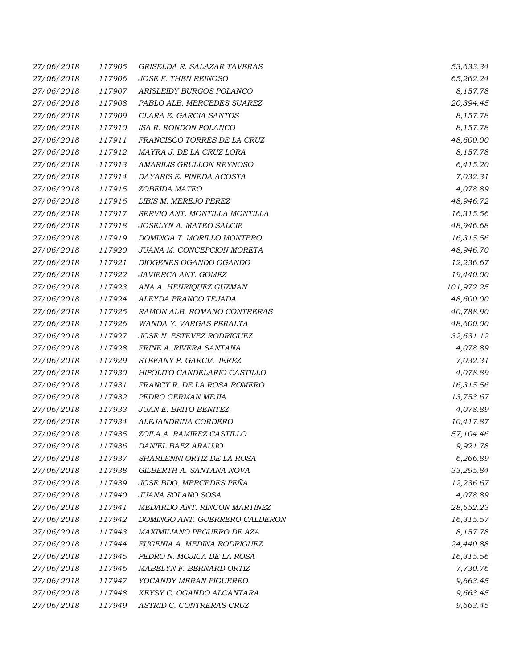| 27/06/2018 | 117905 | GRISELDA R. SALAZAR TAVERAS    | 53,633.34  |
|------------|--------|--------------------------------|------------|
| 27/06/2018 | 117906 | JOSE F. THEN REINOSO           | 65,262.24  |
| 27/06/2018 | 117907 | ARISLEIDY BURGOS POLANCO       | 8,157.78   |
| 27/06/2018 | 117908 | PABLO ALB. MERCEDES SUAREZ     | 20,394.45  |
| 27/06/2018 | 117909 | CLARA E. GARCIA SANTOS         | 8,157.78   |
| 27/06/2018 | 117910 | ISA R. RONDON POLANCO          | 8,157.78   |
| 27/06/2018 | 117911 | FRANCISCO TORRES DE LA CRUZ    | 48,600.00  |
| 27/06/2018 | 117912 | MAYRA J. DE LA CRUZ LORA       | 8,157.78   |
| 27/06/2018 | 117913 | AMARILIS GRULLON REYNOSO       | 6,415.20   |
| 27/06/2018 | 117914 | DAYARIS E. PINEDA ACOSTA       | 7,032.31   |
| 27/06/2018 | 117915 | ZOBEIDA MATEO                  | 4,078.89   |
| 27/06/2018 | 117916 | LIBIS M. MEREJO PEREZ          | 48,946.72  |
| 27/06/2018 | 117917 | SERVIO ANT. MONTILLA MONTILLA  | 16,315.56  |
| 27/06/2018 | 117918 | JOSELYN A. MATEO SALCIE        | 48,946.68  |
| 27/06/2018 | 117919 | DOMINGA T. MORILLO MONTERO     | 16,315.56  |
| 27/06/2018 | 117920 | JUANA M. CONCEPCION MORETA     | 48,946.70  |
| 27/06/2018 | 117921 | DIOGENES OGANDO OGANDO         | 12,236.67  |
| 27/06/2018 | 117922 | JAVIERCA ANT. GOMEZ            | 19,440.00  |
| 27/06/2018 | 117923 | ANA A. HENRIQUEZ GUZMAN        | 101,972.25 |
| 27/06/2018 | 117924 | ALEYDA FRANCO TEJADA           | 48,600.00  |
| 27/06/2018 | 117925 | RAMON ALB. ROMANO CONTRERAS    | 40,788.90  |
| 27/06/2018 | 117926 | WANDA Y. VARGAS PERALTA        | 48,600.00  |
| 27/06/2018 | 117927 | JOSE N. ESTEVEZ RODRIGUEZ      | 32,631.12  |
| 27/06/2018 | 117928 | FRINE A. RIVERA SANTANA        | 4,078.89   |
| 27/06/2018 | 117929 | STEFANY P. GARCIA JEREZ        | 7,032.31   |
| 27/06/2018 | 117930 | HIPOLITO CANDELARIO CASTILLO   | 4,078.89   |
| 27/06/2018 | 117931 | FRANCY R. DE LA ROSA ROMERO    | 16,315.56  |
| 27/06/2018 | 117932 | PEDRO GERMAN MEJIA             | 13,753.67  |
| 27/06/2018 | 117933 | JUAN E. BRITO BENITEZ          | 4,078.89   |
| 27/06/2018 | 117934 | ALEJANDRINA CORDERO            | 10,417.87  |
| 27/06/2018 | 117935 | ZOILA A. RAMIREZ CASTILLO      | 57,104.46  |
| 27/06/2018 | 117936 | DANIEL BAEZ ARAUJO             | 9,921.78   |
| 27/06/2018 | 117937 | SHARLENNI ORTIZ DE LA ROSA     | 6,266.89   |
| 27/06/2018 | 117938 | GILBERTH A. SANTANA NOVA       | 33,295.84  |
| 27/06/2018 | 117939 | JOSE BDO. MERCEDES PEÑA        | 12,236.67  |
| 27/06/2018 | 117940 | JUANA SOLANO SOSA              | 4,078.89   |
| 27/06/2018 | 117941 | MEDARDO ANT. RINCON MARTINEZ   | 28,552.23  |
| 27/06/2018 | 117942 | DOMINGO ANT. GUERRERO CALDERON | 16,315.57  |
| 27/06/2018 | 117943 | MAXIMILIANO PEGUERO DE AZA     | 8,157.78   |
| 27/06/2018 | 117944 | EUGENIA A. MEDINA RODRIGUEZ    | 24,440.88  |
| 27/06/2018 | 117945 | PEDRO N. MOJICA DE LA ROSA     | 16,315.56  |
| 27/06/2018 | 117946 | MABELYN F. BERNARD ORTIZ       | 7,730.76   |
| 27/06/2018 | 117947 | YOCANDY MERAN FIGUEREO         | 9,663.45   |
| 27/06/2018 | 117948 | KEYSY C. OGANDO ALCANTARA      | 9,663.45   |
| 27/06/2018 | 117949 | ASTRID C. CONTRERAS CRUZ       | 9,663.45   |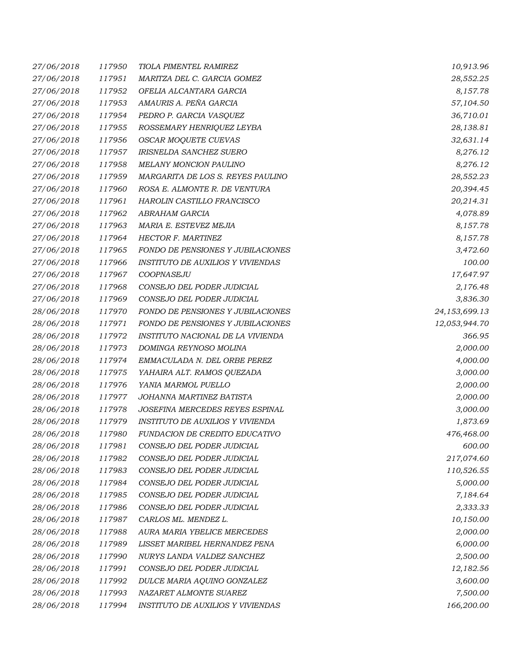| 27/06/2018 | 117950 | TIOLA PIMENTEL RAMIREZ                   | 10,913.96     |
|------------|--------|------------------------------------------|---------------|
| 27/06/2018 | 117951 | MARITZA DEL C. GARCIA GOMEZ              | 28,552.25     |
| 27/06/2018 | 117952 | OFELIA ALCANTARA GARCIA                  | 8,157.78      |
| 27/06/2018 | 117953 | AMAURIS A. PEÑA GARCIA                   | 57,104.50     |
| 27/06/2018 | 117954 | PEDRO P. GARCIA VASQUEZ                  | 36,710.01     |
| 27/06/2018 | 117955 | ROSSEMARY HENRIQUEZ LEYBA                | 28,138.81     |
| 27/06/2018 | 117956 | OSCAR MOQUETE CUEVAS                     | 32,631.14     |
| 27/06/2018 | 117957 | IRISNELDA SANCHEZ SUERO                  | 8,276.12      |
| 27/06/2018 | 117958 | MELANY MONCION PAULINO                   | 8,276.12      |
| 27/06/2018 | 117959 | MARGARITA DE LOS S. REYES PAULINO        | 28,552.23     |
| 27/06/2018 | 117960 | ROSA E. ALMONTE R. DE VENTURA            | 20,394.45     |
| 27/06/2018 | 117961 | HAROLIN CASTILLO FRANCISCO               | 20,214.31     |
| 27/06/2018 | 117962 | ABRAHAM GARCIA                           | 4,078.89      |
| 27/06/2018 | 117963 | MARIA E. ESTEVEZ MEJIA                   | 8,157.78      |
| 27/06/2018 | 117964 | HECTOR F. MARTINEZ                       | 8,157.78      |
| 27/06/2018 | 117965 | FONDO DE PENSIONES Y JUBILACIONES        | 3,472.60      |
| 27/06/2018 | 117966 | <b>INSTITUTO DE AUXILIOS Y VIVIENDAS</b> | 100.00        |
| 27/06/2018 | 117967 | COOPNASEJU                               | 17,647.97     |
| 27/06/2018 | 117968 | CONSEJO DEL PODER JUDICIAL               | 2,176.48      |
| 27/06/2018 | 117969 | CONSEJO DEL PODER JUDICIAL               | 3,836.30      |
| 28/06/2018 | 117970 | FONDO DE PENSIONES Y JUBILACIONES        | 24,153,699.13 |
| 28/06/2018 | 117971 | FONDO DE PENSIONES Y JUBILACIONES        | 12,053,944.70 |
| 28/06/2018 | 117972 | INSTITUTO NACIONAL DE LA VIVIENDA        | 366.95        |
| 28/06/2018 | 117973 | DOMINGA REYNOSO MOLINA                   | 2,000.00      |
| 28/06/2018 | 117974 | EMMACULADA N. DEL ORBE PEREZ             | 4,000.00      |
| 28/06/2018 | 117975 | YAHAIRA ALT. RAMOS QUEZADA               | 3,000.00      |
| 28/06/2018 | 117976 | YANIA MARMOL PUELLO                      | 2,000.00      |
| 28/06/2018 | 117977 | JOHANNA MARTINEZ BATISTA                 | 2,000.00      |
| 28/06/2018 | 117978 | JOSEFINA MERCEDES REYES ESPINAL          | 3,000.00      |
| 28/06/2018 | 117979 | INSTITUTO DE AUXILIOS Y VIVIENDA         | 1,873.69      |
| 28/06/2018 | 117980 | FUNDACION DE CREDITO EDUCATIVO           | 476,468.00    |
| 28/06/2018 | 117981 | CONSEJO DEL PODER JUDICIAL               | 600.00        |
| 28/06/2018 | 117982 | CONSEJO DEL PODER JUDICIAL               | 217,074.60    |
| 28/06/2018 | 117983 | CONSEJO DEL PODER JUDICIAL               | 110,526.55    |
| 28/06/2018 | 117984 | CONSEJO DEL PODER JUDICIAL               | 5,000.00      |
| 28/06/2018 | 117985 | CONSEJO DEL PODER JUDICIAL               | 7,184.64      |
| 28/06/2018 | 117986 | CONSEJO DEL PODER JUDICIAL               | 2,333.33      |
| 28/06/2018 | 117987 | CARLOS ML. MENDEZ L.                     | 10,150.00     |
| 28/06/2018 | 117988 | AURA MARIA YBELICE MERCEDES              | 2,000.00      |
| 28/06/2018 | 117989 | LISSET MARIBEL HERNANDEZ PENA            | 6,000.00      |
| 28/06/2018 | 117990 | NURYS LANDA VALDEZ SANCHEZ               | 2,500.00      |
| 28/06/2018 | 117991 | CONSEJO DEL PODER JUDICIAL               | 12,182.56     |
| 28/06/2018 | 117992 | DULCE MARIA AQUINO GONZALEZ              | 3,600.00      |
| 28/06/2018 | 117993 | NAZARET ALMONTE SUAREZ                   | 7,500.00      |
| 28/06/2018 | 117994 | INSTITUTO DE AUXILIOS Y VIVIENDAS        | 166,200.00    |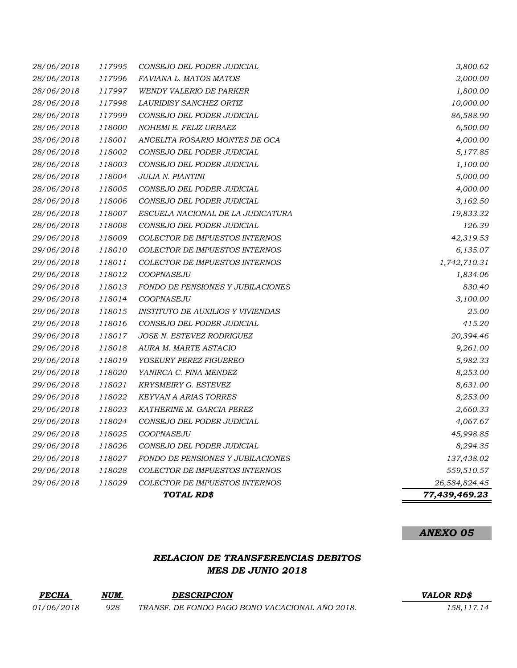| 28/06/2018 | 117995 | CONSEJO DEL PODER JUDICIAL               | 3,800.62      |
|------------|--------|------------------------------------------|---------------|
| 28/06/2018 | 117996 | FAVIANA L. MATOS MATOS                   | 2,000.00      |
| 28/06/2018 | 117997 | <b>WENDY VALERIO DE PARKER</b>           | 1,800.00      |
| 28/06/2018 | 117998 | LAURIDISY SANCHEZ ORTIZ                  | 10,000.00     |
| 28/06/2018 | 117999 | CONSEJO DEL PODER JUDICIAL               | 86,588.90     |
| 28/06/2018 | 118000 | NOHEMI E. FELIZ URBAEZ                   | 6,500.00      |
| 28/06/2018 | 118001 | ANGELITA ROSARIO MONTES DE OCA           | 4,000.00      |
| 28/06/2018 | 118002 | CONSEJO DEL PODER JUDICIAL               | 5,177.85      |
| 28/06/2018 | 118003 | CONSEJO DEL PODER JUDICIAL               | 1,100.00      |
| 28/06/2018 | 118004 | JULIA N. PIANTINI                        | 5,000.00      |
| 28/06/2018 | 118005 | CONSEJO DEL PODER JUDICIAL               | 4,000.00      |
| 28/06/2018 | 118006 | CONSEJO DEL PODER JUDICIAL               | 3,162.50      |
| 28/06/2018 | 118007 | ESCUELA NACIONAL DE LA JUDICATURA        | 19,833.32     |
| 28/06/2018 | 118008 | CONSEJO DEL PODER JUDICIAL               | 126.39        |
| 29/06/2018 | 118009 | COLECTOR DE IMPUESTOS INTERNOS           | 42,319.53     |
| 29/06/2018 | 118010 | COLECTOR DE IMPUESTOS INTERNOS           | 6,135.07      |
| 29/06/2018 | 118011 | COLECTOR DE IMPUESTOS INTERNOS           | 1,742,710.31  |
| 29/06/2018 | 118012 | COOPNASEJU                               | 1,834.06      |
| 29/06/2018 | 118013 | <b>FONDO DE PENSIONES Y JUBILACIONES</b> | 830.40        |
| 29/06/2018 | 118014 | COOPNASEJU                               | 3,100.00      |
| 29/06/2018 | 118015 | <b>INSTITUTO DE AUXILIOS Y VIVIENDAS</b> | 25.00         |
| 29/06/2018 | 118016 | CONSEJO DEL PODER JUDICIAL               | 415.20        |
| 29/06/2018 | 118017 | <b>JOSE N. ESTEVEZ RODRIGUEZ</b>         | 20,394.46     |
| 29/06/2018 | 118018 | AURA M. MARTE ASTACIO                    | 9,261.00      |
| 29/06/2018 | 118019 | YOSEURY PEREZ FIGUEREO                   | 5,982.33      |
| 29/06/2018 | 118020 | YANIRCA C. PINA MENDEZ                   | 8,253.00      |
| 29/06/2018 | 118021 | KRYSMEIRY G. ESTEVEZ                     | 8,631.00      |
| 29/06/2018 | 118022 | KEYVAN A ARIAS TORRES                    | 8,253.00      |
| 29/06/2018 | 118023 | KATHERINE M. GARCIA PEREZ                | 2,660.33      |
| 29/06/2018 | 118024 | CONSEJO DEL PODER JUDICIAL               | 4,067.67      |
| 29/06/2018 | 118025 | COOPNASEJU                               | 45,998.85     |
| 29/06/2018 | 118026 | CONSEJO DEL PODER JUDICIAL               | 8,294.35      |
| 29/06/2018 | 118027 | FONDO DE PENSIONES Y JUBILACIONES        | 137,438.02    |
| 29/06/2018 | 118028 | <b>COLECTOR DE IMPUESTOS INTERNOS</b>    | 559,510.57    |
| 29/06/2018 | 118029 | COLECTOR DE IMPUESTOS INTERNOS           | 26,584,824.45 |
|            |        | TOTAL RD\$                               | 77,439,469.23 |

*ANEXO 05*

# *RELACION DE TRANSFERENCIAS DEBITOS MES DE JUNIO 2018*

| <b>FECHA</b>      | NUM. | <b>DESCRIPCION</b>                              | <b>VALOR RDS</b> |
|-------------------|------|-------------------------------------------------|------------------|
| <i>01/06/2018</i> | 928  | TRANSF. DE FONDO PAGO BONO VACACIONAL AÑO 2018. | 158.117.14       |